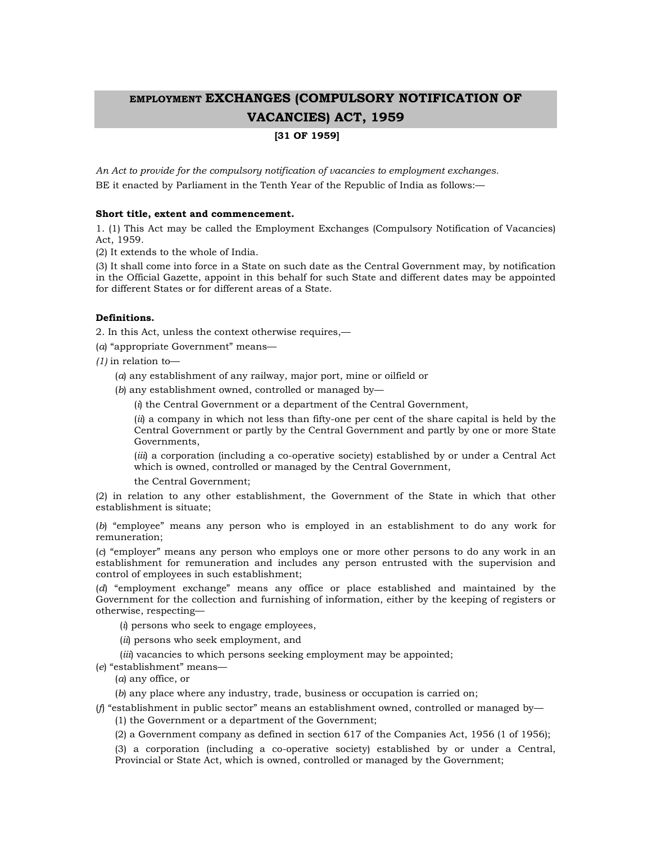# EMPLOYMENT EXCHANGES (COMPULSORY NOTIFICATION OF VACANCIES) ACT, 1959

# [31 OF 1959]

An Act to provide for the compulsory notification of vacancies to employment exchanges. BE it enacted by Parliament in the Tenth Year of the Republic of India as follows:—

# Short title, extent and commencement.

1. (1) This Act may be called the Employment Exchanges (Compulsory Notification of Vacancies) Act, 1959.

(2) It extends to the whole of India.

(3) It shall come into force in a State on such date as the Central Government may, by notification in the Official Gazette, appoint in this behalf for such State and different dates may be appointed for different States or for different areas of a State.

# Definitions.

2. In this Act, unless the context otherwise requires,—

(a) "appropriate Government" means—

 $(1)$  in relation to-

(a) any establishment of any railway, major port, mine or oilfield or

(b) any establishment owned, controlled or managed by—

(i) the Central Government or a department of the Central Government,

(ii) a company in which not less than fifty-one per cent of the share capital is held by the Central Government or partly by the Central Government and partly by one or more State Governments,

(iii) a corporation (including a co-operative society) established by or under a Central Act which is owned, controlled or managed by the Central Government,

the Central Government;

(2) in relation to any other establishment, the Government of the State in which that other establishment is situate;

(b) "employee" means any person who is employed in an establishment to do any work for remuneration;

(c) "employer" means any person who employs one or more other persons to do any work in an establishment for remuneration and includes any person entrusted with the supervision and control of employees in such establishment;

(d) "employment exchange" means any office or place established and maintained by the Government for the collection and furnishing of information, either by the keeping of registers or otherwise, respecting—

(i) persons who seek to engage employees,

(ii) persons who seek employment, and

(*iii*) vacancies to which persons seeking employment may be appointed;

(e) "establishment" means—

(a) any office, or

(b) any place where any industry, trade, business or occupation is carried on;

( $f$ ) "establishment in public sector" means an establishment owned, controlled or managed by-

(1) the Government or a department of the Government;

(2) a Government company as defined in section 617 of the Companies Act, 1956 (1 of 1956);

(3) a corporation (including a co-operative society) established by or under a Central, Provincial or State Act, which is owned, controlled or managed by the Government;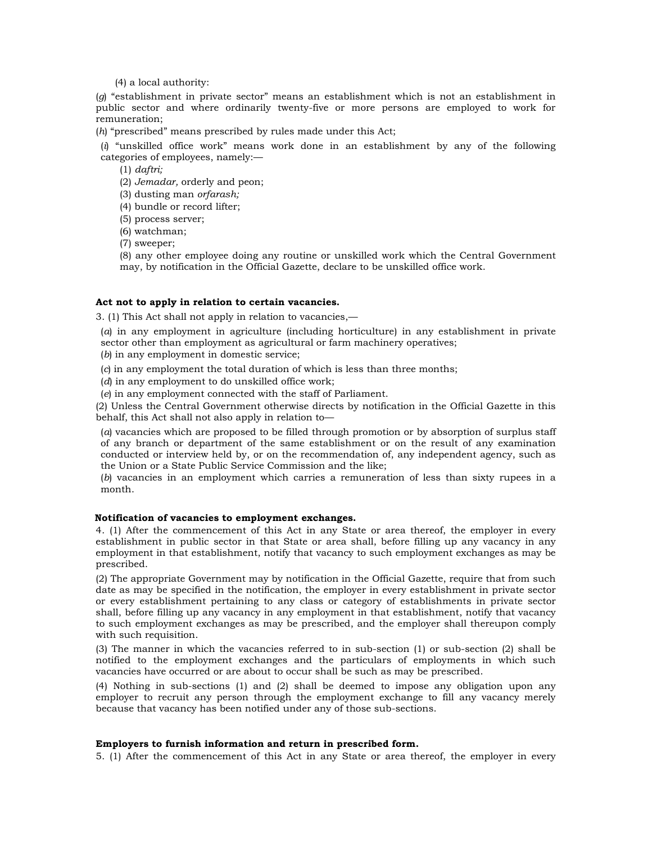(4) a local authority:

 $(g)$  "establishment in private sector" means an establishment which is not an establishment in public sector and where ordinarily twenty-five or more persons are employed to work for remuneration;

(h) "prescribed" means prescribed by rules made under this Act;

 $(i)$  "unskilled office work" means work done in an establishment by any of the following categories of employees, namely:—

 $(1)$  daftri;

(2) Jemadar, orderly and peon;

(3) dusting man orfarash;

(4) bundle or record lifter;

(5) process server;

(6) watchman;

(7) sweeper;

(8) any other employee doing any routine or unskilled work which the Central Government may, by notification in the Official Gazette, declare to be unskilled office work.

# Act not to apply in relation to certain vacancies.

3. (1) This Act shall not apply in relation to vacancies,—

(a) in any employment in agriculture (including horticulture) in any establishment in private sector other than employment as agricultural or farm machinery operatives;

(b) in any employment in domestic service;

(c) in any employment the total duration of which is less than three months;

(d) in any employment to do unskilled office work;

(e) in any employment connected with the staff of Parliament.

(2) Unless the Central Government otherwise directs by notification in the Official Gazette in this behalf, this Act shall not also apply in relation to—

(a) vacancies which are proposed to be filled through promotion or by absorption of surplus staff of any branch or department of the same establishment or on the result of any examination conducted or interview held by, or on the recommendation of, any independent agency, such as the Union or a State Public Service Commission and the like;

(b) vacancies in an employment which carries a remuneration of less than sixty rupees in a month.

# Notification of vacancies to employment exchanges.

4. (1) After the commencement of this Act in any State or area thereof, the employer in every establishment in public sector in that State or area shall, before filling up any vacancy in any employment in that establishment, notify that vacancy to such employment exchanges as may be prescribed.

(2) The appropriate Government may by notification in the Official Gazette, require that from such date as may be specified in the notification, the employer in every establishment in private sector or every establishment pertaining to any class or category of establishments in private sector shall, before filling up any vacancy in any employment in that establishment, notify that vacancy to such employment exchanges as may be prescribed, and the employer shall thereupon comply with such requisition.

(3) The manner in which the vacancies referred to in sub-section (1) or sub-section (2) shall be notified to the employment exchanges and the particulars of employments in which such vacancies have occurred or are about to occur shall be such as may be prescribed.

(4) Nothing in sub-sections (1) and (2) shall be deemed to impose any obligation upon any employer to recruit any person through the employment exchange to fill any vacancy merely because that vacancy has been notified under any of those sub-sections.

#### Employers to furnish information and return in prescribed form.

5. (1) After the commencement of this Act in any State or area thereof, the employer in every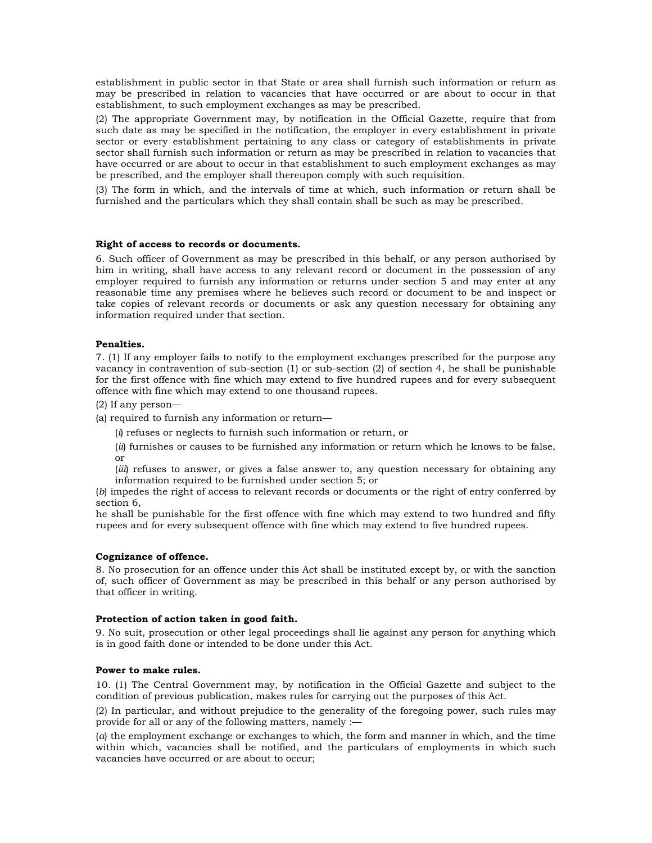establishment in public sector in that State or area shall furnish such information or return as may be prescribed in relation to vacancies that have occurred or are about to occur in that establishment, to such employment exchanges as may be prescribed.

(2) The appropriate Government may, by notification in the Official Gazette, require that from such date as may be specified in the notification, the employer in every establishment in private sector or every establishment pertaining to any class or category of establishments in private sector shall furnish such information or return as may be prescribed in relation to vacancies that have occurred or are about to occur in that establishment to such employment exchanges as may be prescribed, and the employer shall thereupon comply with such requisition.

(3) The form in which, and the intervals of time at which, such information or return shall be furnished and the particulars which they shall contain shall be such as may be prescribed.

# Right of access to records or documents.

6. Such officer of Government as may be prescribed in this behalf, or any person authorised by him in writing, shall have access to any relevant record or document in the possession of any employer required to furnish any information or returns under section 5 and may enter at any reasonable time any premises where he believes such record or document to be and inspect or take copies of relevant records or documents or ask any question necessary for obtaining any information required under that section.

# Penalties.

7. (1) If any employer fails to notify to the employment exchanges prescribed for the purpose any vacancy in contravention of sub-section (1) or sub-section (2) of section 4, he shall be punishable for the first offence with fine which may extend to five hundred rupees and for every subsequent offence with fine which may extend to one thousand rupees.

(2) If any person—

(a) required to furnish any information or return—

(i) refuses or neglects to furnish such information or return, or

- (ii) furnishes or causes to be furnished any information or return which he knows to be false, or
- (*iii*) refuses to answer, or gives a false answer to, any question necessary for obtaining any information required to be furnished under section 5; or

(b) impedes the right of access to relevant records or documents or the right of entry conferred by section 6,

he shall be punishable for the first offence with fine which may extend to two hundred and fifty rupees and for every subsequent offence with fine which may extend to five hundred rupees.

#### Cognizance of offence.

8. No prosecution for an offence under this Act shall be instituted except by, or with the sanction of, such officer of Government as may be prescribed in this behalf or any person authorised by that officer in writing.

### Protection of action taken in good faith.

9. No suit, prosecution or other legal proceedings shall lie against any person for anything which is in good faith done or intended to be done under this Act.

#### Power to make rules.

10. (1) The Central Government may, by notification in the Official Gazette and subject to the condition of previous publication, makes rules for carrying out the purposes of this Act.

(2) In particular, and without prejudice to the generality of the foregoing power, such rules may provide for all or any of the following matters, namely :—

(a) the employment exchange or exchanges to which, the form and manner in which, and the time within which, vacancies shall be notified, and the particulars of employments in which such vacancies have occurred or are about to occur;